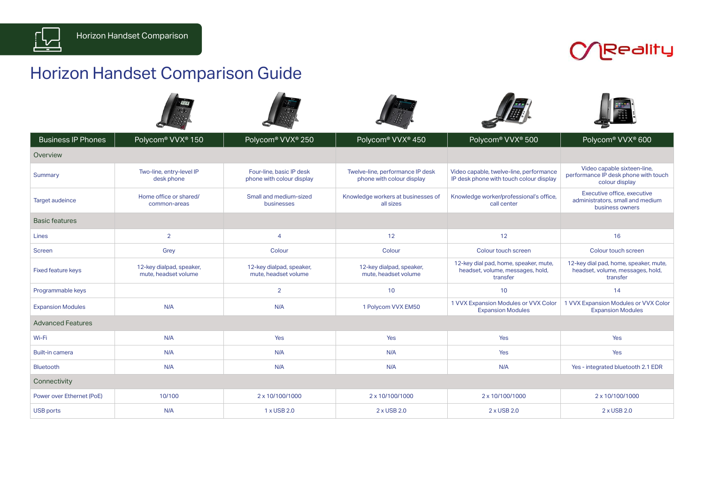

## **COReality**

## Horizon Handset Comparison Guide

| <b>Business IP Phones</b> | Polycom <sup>®</sup> VVX <sup>®</sup> 150        | Polycom® VVX® 250                                     | Polycom® VVX® 450                                             | Polycom® VVX® 500                                                                     | Polycom® VVX® 600                                                                     |
|---------------------------|--------------------------------------------------|-------------------------------------------------------|---------------------------------------------------------------|---------------------------------------------------------------------------------------|---------------------------------------------------------------------------------------|
| Overview                  |                                                  |                                                       |                                                               |                                                                                       |                                                                                       |
| Summary                   | Two-line, entry-level IP<br>desk phone           | Four-line, basic IP desk<br>phone with colour display | Twelve-line, performance IP desk<br>phone with colour display | Video capable, twelve-line, performance<br>IP desk phone with touch colour display    | Video capable sixteen-line,<br>performance IP desk phone with touch<br>colour display |
| <b>Target audeince</b>    | Home office or shared/<br>common-areas           | Small and medium-sized<br>businesses                  | Knowledge workers at businesses of<br>all sizes               | Knowledge worker/professional's office,<br>call center                                | Executive office, executive<br>administrators, small and medium<br>business owners    |
| <b>Basic features</b>     |                                                  |                                                       |                                                               |                                                                                       |                                                                                       |
| Lines                     | $\overline{2}$                                   | $\overline{4}$                                        | 12                                                            | 12                                                                                    | 16                                                                                    |
| <b>Screen</b>             | Grey                                             | Colour                                                | Colour                                                        | Colour touch screen                                                                   | Colour touch screen                                                                   |
| <b>Fixed feature keys</b> | 12-key dialpad, speaker,<br>mute, headset volume | 12-key dialpad, speaker,<br>mute, headset volume      | 12-key dialpad, speaker,<br>mute, headset volume              | 12-key dial pad, home, speaker, mute,<br>headset, volume, messages, hold,<br>transfer | 12-key dial pad, home, speaker, mute,<br>headset, volume, messages, hold,<br>transfer |
| Programmable keys         |                                                  | $\overline{2}$                                        | 10                                                            | 10                                                                                    | 14                                                                                    |
| <b>Expansion Modules</b>  | N/A                                              | N/A                                                   | 1 Polycom VVX EM50                                            | 1 VVX Expansion Modules or VVX Color<br><b>Expansion Modules</b>                      | 1 VVX Expansion Modules or VVX Color<br><b>Expansion Modules</b>                      |
| <b>Advanced Features</b>  |                                                  |                                                       |                                                               |                                                                                       |                                                                                       |
| Wi-Fi                     | N/A                                              | Yes                                                   | Yes                                                           | Yes                                                                                   | Yes                                                                                   |
| <b>Built-in camera</b>    | N/A                                              | N/A                                                   | N/A                                                           | Yes                                                                                   | Yes                                                                                   |
| <b>Bluetooth</b>          | N/A                                              | N/A                                                   | N/A                                                           | N/A                                                                                   | Yes - integrated bluetooth 2.1 EDR                                                    |
| Connectivity              |                                                  |                                                       |                                                               |                                                                                       |                                                                                       |
| Power over Ethernet (PoE) | 10/100                                           | 2 x 10/100/1000                                       | 2 x 10/100/1000                                               | 2 x 10/100/1000                                                                       | 2 x 10/100/1000                                                                       |
| <b>USB ports</b>          | N/A                                              | 1 x USB 2.0                                           | 2 x USB 2.0                                                   | 2 x USB 2.0                                                                           | 2 x USB 2.0                                                                           |